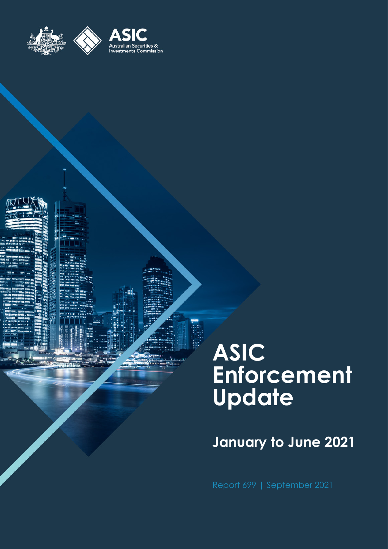

# **ASIC Enforcement Update**

# **January to June 2021**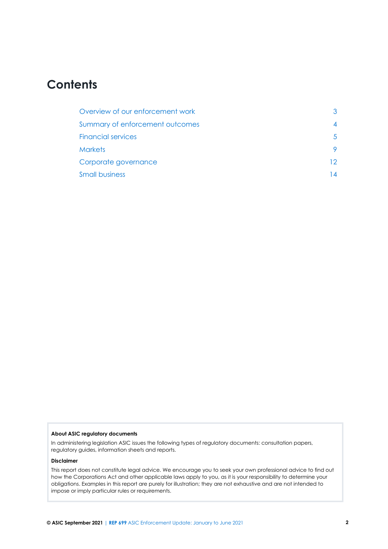# **Contents**

| Overview of our enforcement work |     |
|----------------------------------|-----|
| Summary of enforcement outcomes  |     |
| <b>Financial services</b>        |     |
| <b>Markets</b>                   |     |
| Corporate governance             | 12. |
| <b>Small business</b>            |     |

#### **About ASIC regulatory documents**

In administering legislation ASIC issues the following types of regulatory documents: consultation papers, regulatory guides, information sheets and reports.

#### **Disclaimer**

This report does not constitute legal advice. We encourage you to seek your own professional advice to find out how the Corporations Act and other applicable laws apply to you, as it is your responsibility to determine your obligations. Examples in this report are purely for illustration; they are not exhaustive and are not intended to impose or imply particular rules or requirements.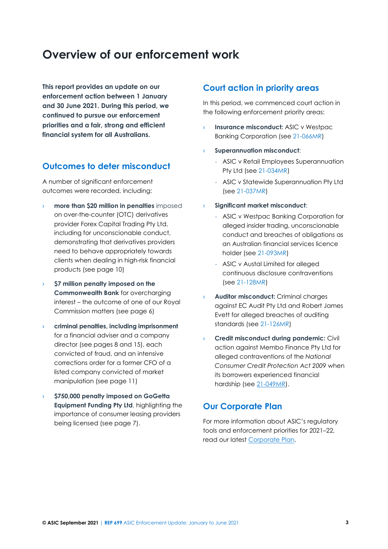# <span id="page-2-0"></span>**Overview of our enforcement work**

**This report provides an update on our enforcement action between 1 January and 30 June 2021. During this period, we continued to pursue our enforcement priorities and a fair, strong and efficient financial system for all Australians.**

## **Outcomes to deter misconduct**

A number of significant enforcement outcomes were recorded, including:

- › **more than \$20 million in penalties** imposed on over-the-counter (OTC) derivatives provider Forex Capital Trading Pty Ltd, including for unconscionable conduct, demonstrating that derivatives providers need to behave appropriately towards clients when dealing in high-risk financial products (see page 10)
- › **\$7 million penalty imposed on the Commonwealth Bank** for overcharging interest – the outcome of one of our Royal Commission matters (see page 6)
- › **criminal penalties, including imprisonment** for a financial adviser and a company director (see pages 8 and 15), each convicted of fraud, and an intensive corrections order for a former CFO of a listed company convicted of market manipulation (see page 11)
- › **\$750,000 penalty imposed on GoGetta Equipment Funding Pty Ltd**, highlighting the importance of consumer leasing providers being licensed (see page 7).

### **Court action in priority areas**

In this period, we commenced court action in the following enforcement priority areas:

- **Insurance misconduct:** ASIC v Westpac Banking Corporation (see [21-066MR\)](https://asic.gov.au/about-asic/news-centre/find-a-media-release/2021-releases/21-066mr-asic-commences-proceedings-against-westpac-for-alleged-misleading-and-unfair-sales-of-consumer-credit-insurance/)
- › **Superannuation misconduct**:
	- ASIC v Retail Employees Superannuation Pty Ltd (see [21-034MR\)](https://asic.gov.au/about-asic/news-centre/find-a-media-release/2021-releases/21-034mr-asic-commences-civil-penalty-proceedings-against-rest-for-misleading-and-deceptive-representations-to-members/)
	- ASIC v Statewide Superannuation Pty Ltd (see [21-037MR\)](https://asic.gov.au/about-asic/news-centre/find-a-media-release/2021-releases/21-037mr-asic-commences-civil-penalty-proceedings-against-statewide-superannuation-for-misleading-or-deceptive-correspondence/)
- › **Significant market misconduct**:
	- ASIC v Westpac Banking Corporation for alleged insider trading, unconscionable conduct and breaches of obligations as an Australian financial services licence holder (see [21-093MR\)](https://asic.gov.au/about-asic/news-centre/find-a-media-release/2021-releases/21-093mr-asic-commences-civil-proceedings-against-westpac-for-insider-trading/)
	- ASIC v Austal Limited for alleged continuous disclosure contraventions (see [21-128MR\)](https://asic.gov.au/about-asic/news-centre/find-a-media-release/2021-releases/21-128mr-asic-commences-civil-proceedings-against-shipbuilder-austal-limited-for-continuous-disclosure-breach/)
- › **Auditor misconduct:** Criminal charges against EC Audit Pty Ltd and Robert James Evett for alleged breaches of auditing standards (see [21-126MR\)](https://asic.gov.au/about-asic/news-centre/find-a-media-release/2021-releases/21-126mr-halifax-auditors-face-first-criminal-charges-laid-in-australia-for-failure-to-comply-with-auditing-standards/)
- **Credit misconduct during pandemic: Civil** action against Membo Finance Pty Ltd for alleged contraventions of the *National Consumer Credit Protection Act 2009* when its borrowers experienced financial hardship (see [21-049MR\)](https://asic.gov.au/about-asic/news-centre/find-a-media-release/2021-releases/21-049mr-asic-commences-proceedings-against-membo-finance-over-hardship-requests/).

### **Our Corporate Plan**

For more information about ASIC's regulatory tools and enforcement priorities for 2021–22, read our latest [Corporate Plan.](https://asic.gov.au/about-asic/corporate-publications/asic-corporate-plan/)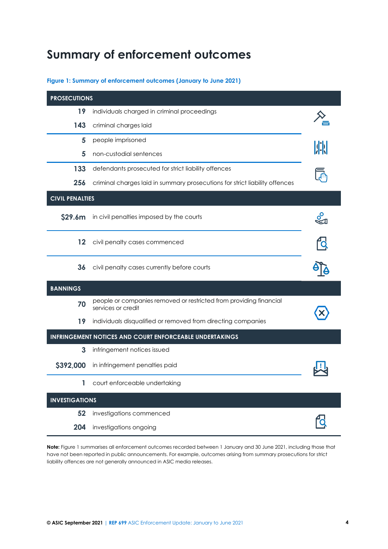# <span id="page-3-0"></span>**Summary of enforcement outcomes**

#### <span id="page-3-1"></span>**Figure 1: Summary of enforcement outcomes (January to June 2021)**

| <b>PROSECUTIONS</b>    |                                                                                          |  |
|------------------------|------------------------------------------------------------------------------------------|--|
| 19                     | individuals charged in criminal proceedings                                              |  |
| 143                    | criminal charges laid                                                                    |  |
| 5                      | people imprisoned                                                                        |  |
| 5                      | non-custodial sentences                                                                  |  |
| 133                    | defendants prosecuted for strict liability offences                                      |  |
| 256                    | criminal charges laid in summary prosecutions for strict liability offences              |  |
| <b>CIVIL PENALTIES</b> |                                                                                          |  |
| \$29.6m                | in civil penalties imposed by the courts                                                 |  |
| 12                     | civil penalty cases commenced                                                            |  |
| 36                     | civil penalty cases currently before courts                                              |  |
| <b>BANNINGS</b>        |                                                                                          |  |
| 70                     | people or companies removed or restricted from providing financial<br>services or credit |  |
| 19                     | individuals disqualified or removed from directing companies                             |  |
|                        | <b>INFRINGEMENT NOTICES AND COURT ENFORCEABLE UNDERTAKINGS</b>                           |  |
| 3                      | infringement notices issued                                                              |  |
| \$392,000              | in infringement penalties paid                                                           |  |
|                        | court enforceable undertaking                                                            |  |
| <b>INVESTIGATIONS</b>  |                                                                                          |  |
| 52                     | investigations commenced                                                                 |  |
| 204                    | investigations ongoing                                                                   |  |

**Note:** [Figure 1](#page-3-1) summarises all enforcement outcomes recorded between 1 January and 30 June 2021, including those that have not been reported in public announcements. For example, outcomes arising from summary prosecutions for strict liability offences are not generally announced in ASIC media releases.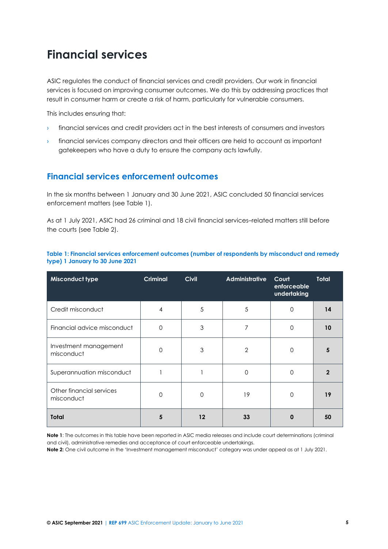# <span id="page-4-0"></span>**Financial services**

ASIC regulates the conduct of financial services and credit providers. Our work in financial services is focused on improving consumer outcomes. We do this by addressing practices that result in consumer harm or create a risk of harm, particularly for vulnerable consumers.

This includes ensuring that:

- $\rightarrow$  financial services and credit providers act in the best interests of consumers and investors
- financial services company directors and their officers are held to account as important gatekeepers who have a duty to ensure the company acts lawfully.

## **Financial services enforcement outcomes**

In the six months between 1 January and 30 June 2021, ASIC concluded 50 financial services enforcement matters (see [Table 1\)](#page-4-1).

As at 1 July 2021, ASIC had 26 criminal and 18 civil financial services–related matters still before the courts (see [Table 2\)](#page-5-0).

| Misconduct type                        | <b>Criminal</b> | <b>Civil</b>      | <b>Administrative</b> | Court<br>enforceable<br>undertaking | <b>Total</b> |
|----------------------------------------|-----------------|-------------------|-----------------------|-------------------------------------|--------------|
| Credit misconduct                      | 4               | 5                 | 5                     | $\mathbf 0$                         | 14           |
| Financial advice misconduct            | $\Omega$        | 3                 | 7                     | 0                                   | 10           |
| Investment management<br>misconduct    | $\Omega$        | 3                 | $\overline{2}$        | 0                                   | 5            |
| Superannuation misconduct              |                 |                   | 0                     | $\mathbf 0$                         | 2            |
| Other financial services<br>misconduct | $\Omega$        | $\Omega$          | 19                    | 0                                   | 19           |
| Total                                  | 5               | $12 \overline{ }$ | 33                    | $\bf{0}$                            | 50           |

#### <span id="page-4-1"></span>**Table 1: Financial services enforcement outcomes (number of respondents by misconduct and remedy type) 1 January to 30 June 2021**

**Note 1**: The outcomes in this table have been reported in ASIC media releases and include court determinations (criminal and civil), administrative remedies and acceptance of court enforceable undertakings.

**Note 2:** One civil outcome in the 'Investment management misconduct' category was under appeal as at 1 July 2021.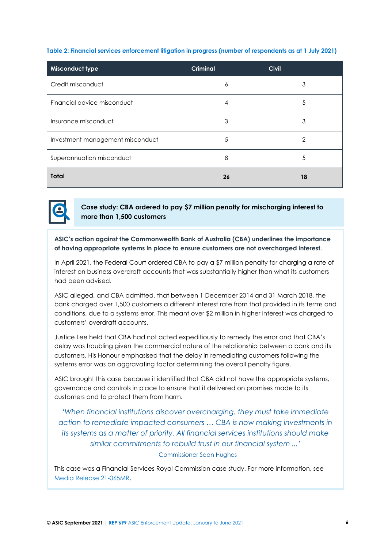#### <span id="page-5-0"></span>**Table 2: Financial services enforcement litigation in progress (number of respondents as at 1 July 2021)**

| Misconduct type                  | <b>Criminal</b> | <b>Civil</b>   |
|----------------------------------|-----------------|----------------|
| Credit misconduct                | 6               | 3              |
| Financial advice misconduct      | 4               | 5              |
| Insurance misconduct             | 3               | 3              |
| Investment management misconduct | 5               | $\overline{2}$ |
| Superannuation misconduct        | 8               | 5              |
| <b>Total</b>                     | 26              | 18             |



**Case study: CBA ordered to pay \$7 million penalty for mischarging interest to more than 1,500 customers**

**ASIC's action against the Commonwealth Bank of Australia (CBA) underlines the importance of having appropriate systems in place to ensure customers are not overcharged interest.** 

In April 2021, the Federal Court ordered CBA to pay a \$7 million penalty for charging a rate of interest on business overdraft accounts that was substantially higher than what its customers had been advised.

ASIC alleged, and CBA admitted, that between 1 December 2014 and 31 March 2018, the bank charged over 1,500 customers a different interest rate from that provided in its terms and conditions, due to a systems error. This meant over \$2 million in higher interest was charged to customers' overdraft accounts.

Justice Lee held that CBA had not acted expeditiously to remedy the error and that CBA's delay was troubling given the commercial nature of the relationship between a bank and its customers. His Honour emphasised that the delay in remediating customers following the systems error was an aggravating factor determining the overall penalty figure.

ASIC brought this case because it identified that CBA did not have the appropriate systems, governance and controls in place to ensure that it delivered on promises made to its customers and to protect them from harm.

*'When financial institutions discover overcharging, they must take immediate action to remediate impacted consumers … CBA is now making investments in its systems as a matter of priority. All financial services institutions should make similar commitments to rebuild trust in our financial system ...' –* Commissioner Sean Hughes

This case was a Financial Services Royal Commission case study. For more information, see [Media Release 21-065MR.](https://asic.gov.au/about-asic/news-centre/find-a-media-release/2021-releases/21-065mr-cba-to-pay-7-million-court-penalty-for-overcharged-interest-royal-commission-case-study/)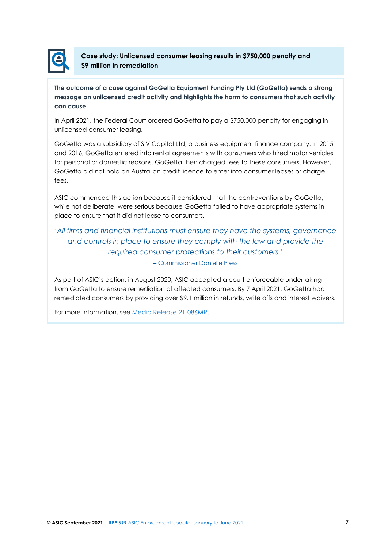

**Case study: Unlicensed consumer leasing results in \$750,000 penalty and \$9 million in remediation**

**The outcome of a case against GoGetta Equipment Funding Pty Ltd (GoGetta) sends a strong message on unlicensed credit activity and highlights the harm to consumers that such activity can cause.** 

In April 2021, the Federal Court ordered GoGetta to pay a \$750,000 penalty for engaging in unlicensed consumer leasing.

GoGetta was a subsidiary of SIV Capital Ltd, a business equipment finance company. In 2015 and 2016, GoGetta entered into rental agreements with consumers who hired motor vehicles for personal or domestic reasons. GoGetta then charged fees to these consumers. However, GoGetta did not hold an Australian credit licence to enter into consumer leases or charge fees.

ASIC commenced this action because it considered that the contraventions by GoGetta, while not deliberate, were serious because GoGetta failed to have appropriate systems in place to ensure that it did not lease to consumers.

### *'All firms and financial institutions must ensure they have the systems, governance and controls in place to ensure they comply with the law and provide the required consumer protections to their customers.'* – Commissioner Danielle Press

As part of ASIC's action, in August 2020, ASIC accepted a court enforceable undertaking from GoGetta to ensure remediation of affected consumers. By 7 April 2021, GoGetta had

remediated consumers by providing over \$9.1 million in refunds, write offs and interest waivers.

For more information, se[e Media Release 21-086MR.](https://asic.gov.au/about-asic/news-centre/find-a-media-release/2021-releases/21-086mr-gogetta-equipment-funding-to-pay-750-000-court-penalty-for-unlicensed-consumer-leasing/)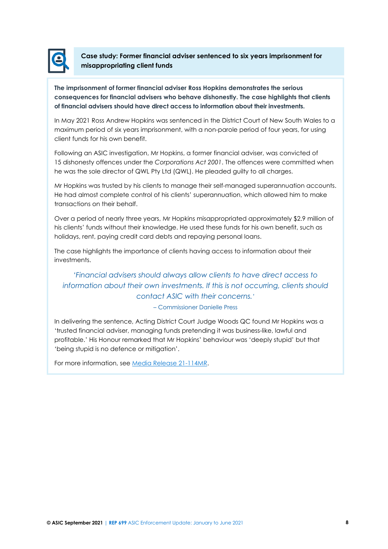

**Case study: Former financial adviser sentenced to six years imprisonment for misappropriating client funds**

**The imprisonment of former financial adviser Ross Hopkins demonstrates the serious consequences for financial advisers who behave dishonestly. The case highlights that clients of financial advisers should have direct access to information about their investments.** 

In May 2021 Ross Andrew Hopkins was sentenced in the District Court of New South Wales to a maximum period of six years imprisonment, with a non-parole period of four years, for using client funds for his own benefit.

Following an ASIC investigation, Mr Hopkins, a former financial adviser, was convicted of 15 dishonesty offences under the *Corporations Act 2001*. The offences were committed when he was the sole director of QWL Pty Ltd (QWL). He pleaded guilty to all charges.

Mr Hopkins was trusted by his clients to manage their self-managed superannuation accounts. He had almost complete control of his clients' superannuation, which allowed him to make transactions on their behalf.

Over a period of nearly three years, Mr Hopkins misappropriated approximately \$2.9 million of his clients' funds without their knowledge. He used these funds for his own benefit, such as holidays, rent, paying credit card debts and repaying personal loans.

The case highlights the importance of clients having access to information about their investments.

# *'Financial advisers should always allow clients to have direct access to information about their own investments. If this is not occurring, clients should contact ASIC with their concerns.'*

### – Commissioner Danielle Press

In delivering the sentence, Acting District Court Judge Woods QC found Mr Hopkins was a 'trusted financial adviser, managing funds pretending it was business-like, lawful and profitable.' His Honour remarked that Mr Hopkins' behaviour was 'deeply stupid' but that 'being stupid is no defence or mitigation'.

For more information, se[e Media Release 21-114MR.](https://asic.gov.au/about-asic/news-centre/find-a-media-release/2021-releases/21-114mr-former-sydney-financial-adviser-sentenced-to-six-years-imprisonment/)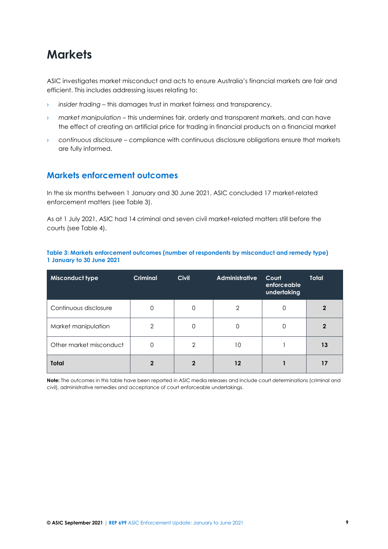# <span id="page-8-0"></span>**Markets**

ASIC investigates market misconduct and acts to ensure Australia's financial markets are fair and efficient. This includes addressing issues relating to:

- › *insider trading* this damages trust in market fairness and transparency,
- › *market manipulation* this undermines fair, orderly and transparent markets, and can have the effect of creating an artificial price for trading in financial products on a financial market
- › *continuous disclosure*  compliance with continuous disclosure obligations ensure that markets are fully informed.

### **Markets enforcement outcomes**

In the six months between 1 January and 30 June 2021, ASIC concluded 17 market-related enforcement matters (see [Table 3\)](#page-8-1).

As at 1 July 2021, ASIC had 14 criminal and seven civil market-related matters still before the courts (se[e Table 4\)](#page-9-0).

#### <span id="page-8-1"></span>**Table 3: Markets enforcement outcomes (number of respondents by misconduct and remedy type) 1 January to 30 June 2021**

| Misconduct type         | <b>Criminal</b> | <b>Civil</b> | <b>Administrative</b> | Court<br>enforceable<br>undertaking | <b>Total</b> |
|-------------------------|-----------------|--------------|-----------------------|-------------------------------------|--------------|
| Continuous disclosure   | 0               | 0            | 2                     | 0                                   |              |
| Market manipulation     | $\overline{2}$  | 0            | 0                     | 0                                   |              |
| Other market misconduct | 0               | 2            | 10                    |                                     | 13           |
| <b>Total</b>            | $\mathfrak{p}$  | 2            | $12 \overline{ }$     |                                     |              |

**Note:** The outcomes in this table have been reported in ASIC media releases and include court determinations (criminal and civil), administrative remedies and acceptance of court enforceable undertakings.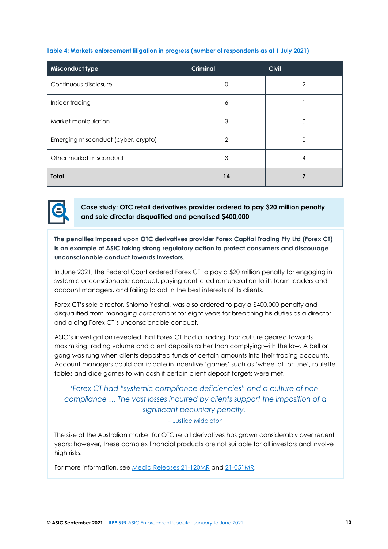<span id="page-9-0"></span>

|  |  |  | Table 4: Markets enforcement litigation in progress (number of respondents as at 1 July 2021) |  |
|--|--|--|-----------------------------------------------------------------------------------------------|--|
|  |  |  |                                                                                               |  |

| <b>Misconduct type</b>              | <b>Criminal</b> | <b>Civil</b>   |
|-------------------------------------|-----------------|----------------|
| Continuous disclosure               | 0               | $\overline{2}$ |
| Insider trading                     | 6               |                |
| Market manipulation                 | 3               |                |
| Emerging misconduct (cyber, crypto) | 2               |                |
| Other market misconduct             | 3               | 4              |
| <b>Total</b>                        | 14              |                |



**Case study: OTC retail derivatives provider ordered to pay \$20 million penalty and sole director disqualified and penalised \$400,000**

**The penalties imposed upon OTC derivatives provider Forex Capital Trading Pty Ltd (Forex CT) is an example of ASIC taking strong regulatory action to protect consumers and discourage unconscionable conduct towards investors**.

In June 2021, the Federal Court ordered Forex CT to pay a \$20 million penalty for engaging in systemic unconscionable conduct, paying conflicted remuneration to its team leaders and account managers, and failing to act in the best interests of its clients.

Forex CT's sole director, Shlomo Yoshai, was also ordered to pay a \$400,000 penalty and disqualified from managing corporations for eight years for breaching his duties as a director and aiding Forex CT's unconscionable conduct.

ASIC's investigation revealed that Forex CT had a trading floor culture geared towards maximising trading volume and client deposits rather than complying with the law. A bell or gong was rung when clients deposited funds of certain amounts into their trading accounts. Account managers could participate in incentive 'games' such as 'wheel of fortune', roulette tables and dice games to win cash if certain client deposit targets were met.

# *'Forex CT had "systemic compliance deficiencies" and a culture of noncompliance … The vast losses incurred by clients support the imposition of a significant pecuniary penalty.'*

– Justice Middleton

The size of the Australian market for OTC retail derivatives has grown considerably over recent years; however, these complex financial products are not suitable for all investors and involve high risks.

For more information, se[e Media Releases](https://asic.gov.au/about-asic/news-centre/find-a-media-release/2021-releases/21-120mr-forex-ct-ordered-to-pay-20-million-penalty-and-sole-director-disqualified-fined-400-000/) 21-120MR and [21-051MR.](https://asic.gov.au/about-asic/news-centre/find-a-media-release/2021-releases/21-051mr-asic-bans-forex-capital-trading-director-for-ten-years-and-former-employees-for-three-to-six-years-from-providing-financial-services/)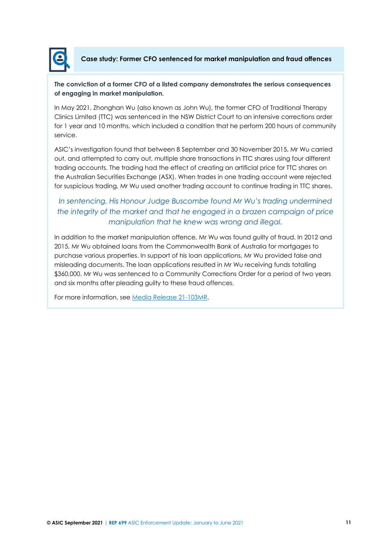

**Case study: Former CFO sentenced for market manipulation and fraud offences**

### **The conviction of a former CFO of a listed company demonstrates the serious consequences of engaging in market manipulation.**

In May 2021, Zhonghan Wu (also known as John Wu), the former CFO of Traditional Therapy Clinics Limited (TTC) was sentenced in the NSW District Court to an intensive corrections order for 1 year and 10 months, which included a condition that he perform 200 hours of community service.

ASIC's investigation found that between 8 September and 30 November 2015, Mr Wu carried out, and attempted to carry out, multiple share transactions in TTC shares using four different trading accounts. The trading had the effect of creating an artificial price for TTC shares on the Australian Securities Exchange (ASX). When trades in one trading account were rejected for suspicious trading, Mr Wu used another trading account to continue trading in TTC shares.

# *In sentencing, His Honour Judge Buscombe found Mr Wu's trading undermined the integrity of the market and that he engaged in a brazen campaign of price manipulation that he knew was wrong and illegal.*

In addition to the market manipulation offence, Mr Wu was found guilty of fraud. In 2012 and 2015, Mr Wu obtained loans from the Commonwealth Bank of Australia for mortgages to purchase various properties. In support of his loan applications, Mr Wu provided false and misleading documents. The loan applications resulted in Mr Wu receiving funds totalling \$360,000. Mr Wu was sentenced to a Community Corrections Order for a period of two years and six months after pleading guilty to these fraud offences.

For more information, se[e Media Release](https://asic.gov.au/about-asic/news-centre/find-a-media-release/2021-releases/21-103mr-former-cfo-sentenced-for-market-manipulation-and-fraud-offences/) 21-103MR.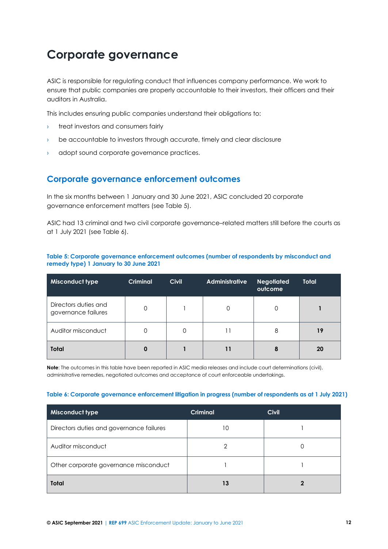# <span id="page-11-0"></span>**Corporate governance**

ASIC is responsible for regulating conduct that influences company performance. We work to ensure that public companies are properly accountable to their investors, their officers and their auditors in Australia.

This includes ensuring public companies understand their obligations to:

- **I** treat investors and consumers fairly
- › be accountable to investors through accurate, timely and clear disclosure
- adopt sound corporate governance practices.

### **Corporate governance enforcement outcomes**

In the six months between 1 January and 30 June 2021, ASIC concluded 20 corporate governance enforcement matters (see [Table 5\)](#page-11-1).

ASIC had 13 criminal and two civil corporate governance–related matters still before the courts as at 1 July 2021 (see [Table 6\)](#page-11-2).

| <b>Misconduct type</b>                      | <b>Criminal</b> | <b>Civil</b> | <b>Administrative</b> | <b>Negotiated</b><br>outcome | Total |
|---------------------------------------------|-----------------|--------------|-----------------------|------------------------------|-------|
| Directors duties and<br>governance failures |                 |              | 0                     | 0                            |       |
| Auditor misconduct                          |                 | 0            | 11                    | 8                            | 19    |
| <b>Total</b>                                | 0               |              | 11                    | 8                            | 20    |

### <span id="page-11-1"></span>**Table 5: Corporate governance enforcement outcomes (number of respondents by misconduct and remedy type) 1 January to 30 June 2021**

**Note**: The outcomes in this table have been reported in ASIC media releases and include court determinations (civil), administrative remedies, negotiated outcomes and acceptance of court enforceable undertakings.

#### <span id="page-11-2"></span>**Table 6: Corporate governance enforcement litigation in progress (number of respondents as at 1 July 2021)**

| <b>Misconduct type</b>                   | <b>Criminal</b> | <b>Civil</b> |
|------------------------------------------|-----------------|--------------|
| Directors duties and governance failures | 10              |              |
| Auditor misconduct                       |                 |              |
| Other corporate governance misconduct    |                 |              |
| <b>Total</b>                             | 13              |              |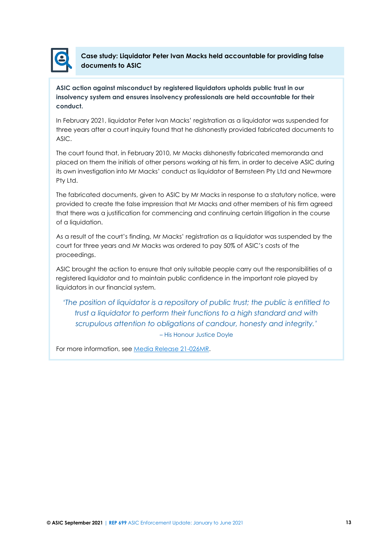

**Case study: Liquidator Peter Ivan Macks held accountable for providing false documents to ASIC**

**ASIC action against misconduct by registered liquidators upholds public trust in our insolvency system and ensures insolvency professionals are held accountable for their conduct.**

In February 2021, liquidator Peter Ivan Macks' registration as a liquidator was suspended for three years after a court inquiry found that he dishonestly provided fabricated documents to ASIC.

The court found that, in February 2010, Mr Macks dishonestly fabricated memoranda and placed on them the initials of other persons working at his firm, in order to deceive ASIC during its own investigation into Mr Macks' conduct as liquidator of Bernsteen Pty Ltd and Newmore Pty Ltd.

The fabricated documents, given to ASIC by Mr Macks in response to a statutory notice, were provided to create the false impression that Mr Macks and other members of his firm agreed that there was a justification for commencing and continuing certain litigation in the course of a liquidation.

As a result of the court's finding, Mr Macks' registration as a liquidator was suspended by the court for three years and Mr Macks was ordered to pay 50% of ASIC's costs of the proceedings.

ASIC brought the action to ensure that only suitable people carry out the responsibilities of a registered liquidator and to maintain public confidence in the important role played by liquidators in our financial system.

*'The position of liquidator is a repository of public trust; the public is entitled to trust a liquidator to perform their functions to a high standard and with scrupulous attention to obligations of candour, honesty and integrity.'* – His Honour Justice Doyle

For more information, see [Media Release 21-026MR.](https://asic.gov.au/about-asic/news-centre/find-a-media-release/2021-releases/21-026mr-supreme-court-decides-peter-ivan-macks-liquidator-registration-to-be-suspended-for-three-years/)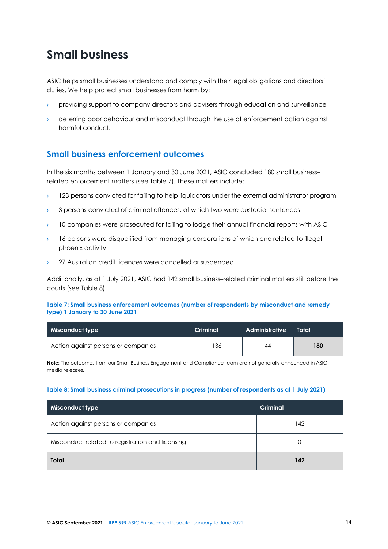# <span id="page-13-0"></span>**Small business**

ASIC helps small businesses understand and comply with their legal obligations and directors' duties. We help protect small businesses from harm by:

- › providing support to company directors and advisers through education and surveillance
- › deterring poor behaviour and misconduct through the use of enforcement action against harmful conduct.

# **Small business enforcement outcomes**

In the six months between 1 January and 30 June 2021, ASIC concluded 180 small business– related enforcement matters (see [Table 7\)](#page-13-1). These matters include:

- $\rightarrow$  123 persons convicted for failing to help liquidators under the external administrator program
- $\rightarrow$  3 persons convicted of criminal offences, of which two were custodial sentences
- › 10 companies were prosecuted for failing to lodge their annual financial reports with ASIC
- › 16 persons were disqualified from managing corporations of which one related to illegal phoenix activity
- 27 Australian credit licences were cancelled or suspended.

Additionally, as at 1 July 2021, ASIC had 142 small business–related criminal matters still before the courts (se[e Table 8\)](#page-13-2).

### <span id="page-13-1"></span>**Table 7: Small business enforcement outcomes (number of respondents by misconduct and remedy type) 1 January to 30 June 2021**

| Misconduct type                     | Criminal | Administrative | Total |
|-------------------------------------|----------|----------------|-------|
| Action against persons or companies | 136      | 44             | 180   |

**Note:** The outcomes from our Small Business Engagement and Compliance team are not generally announced in ASIC media releases.

#### <span id="page-13-2"></span>**Table 8: Small business criminal prosecutions in progress (number of respondents as at 1 July 2021)**

| Misconduct type                                  | <b>Criminal</b> |
|--------------------------------------------------|-----------------|
| Action against persons or companies              | 142             |
| Misconduct related to registration and licensing |                 |
| Total                                            | 142             |